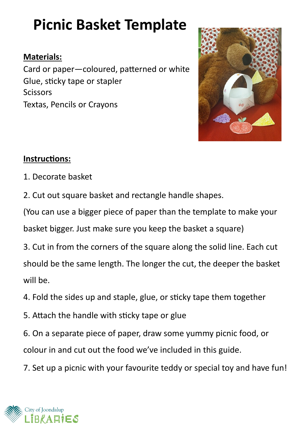# **Picnic Basket Template**

#### **Materials:**

Card or paper—coloured, patterned or white Glue, sticky tape or stapler **Scissors** Textas, Pencils or Crayons



#### **Instructions:**

- 1. Decorate basket
- 2. Cut out square basket and rectangle handle shapes.

(You can use a bigger piece of paper than the template to make your basket bigger. Just make sure you keep the basket a square)

3. Cut in from the corners of the square along the solid line. Each cut should be the same length. The longer the cut, the deeper the basket will be.

- 4. Fold the sides up and staple, glue, or sticky tape them together
- 5. Attach the handle with sticky tape or glue

6. On a separate piece of paper, draw some yummy picnic food, or colour in and cut out the food we've included in this guide.

7. Set up a picnic with your favourite teddy or special toy and have fun!

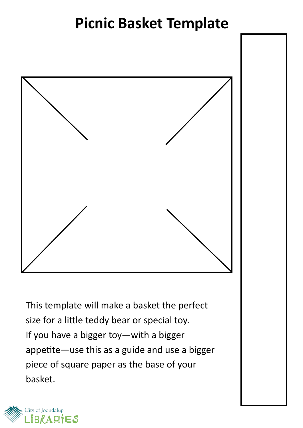### **Picnic Basket Template**